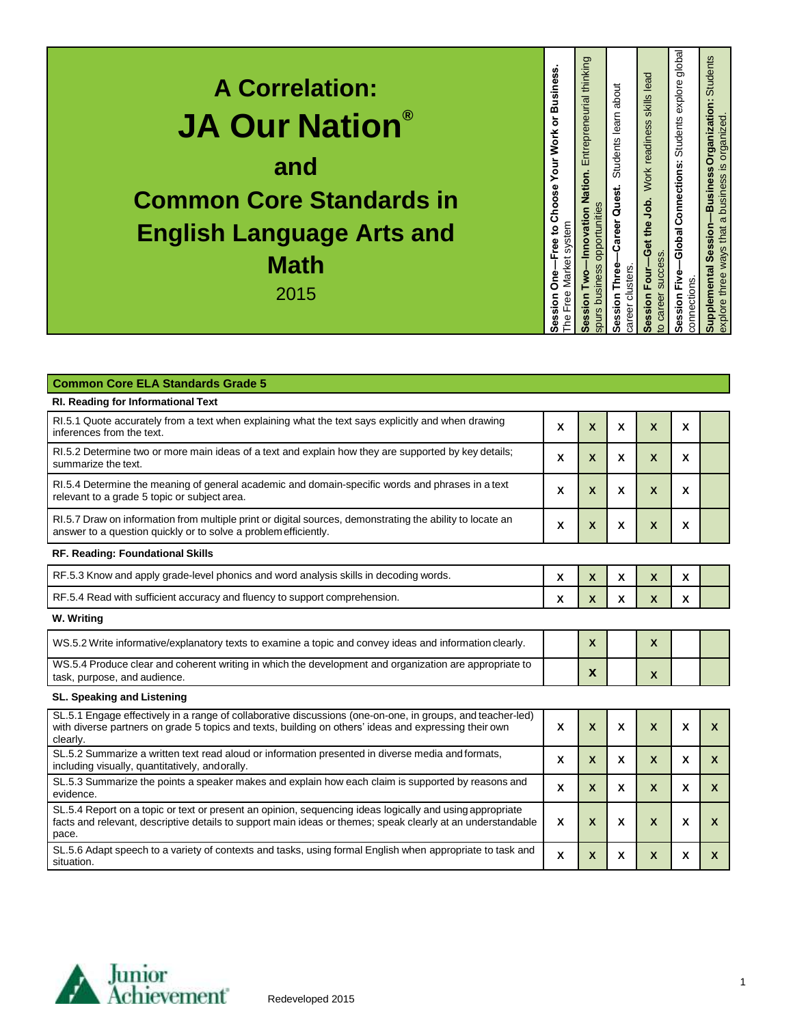| <b>A Correlation:</b><br><b>JA Our Nation®</b><br>and<br><b>Common Core Standards in</b><br><b>English Language Arts and</b><br><b>Math</b><br>2015 |
|-----------------------------------------------------------------------------------------------------------------------------------------------------|
| usines<br>m<br>ŏ<br><b>Work</b><br>Your<br>Choose<br>system<br>$\overline{5}$<br>Market<br>ă<br>Free<br>등<br>ēssi<br>P⊾<br>ഗ                        |
| Entrepreneurial thinking<br>Nation.<br>opportunities<br>Innovation<br>spurs business<br>ession<br>ഗ                                                 |
| Students learn about<br>-Career Quest.<br>ession Three-<br>career clusters<br>Ŵ,                                                                    |
| skills lead<br>Work readiness<br>Get the Job.<br>succe<br>Session Four-<br>career<br>$\overline{5}$                                                 |
| global<br>explore<br><b>Students</b><br>Global Connections:<br>connections<br>Session                                                               |
| Business Organization: Students<br>a business is organized<br>Session<br>ways that<br>Supplemental<br>explore three                                 |

| <b>Common Core ELA Standards Grade 5</b>                                                                                                                                                                                         |   |                           |                  |                           |                  |              |
|----------------------------------------------------------------------------------------------------------------------------------------------------------------------------------------------------------------------------------|---|---------------------------|------------------|---------------------------|------------------|--------------|
| RI. Reading for Informational Text                                                                                                                                                                                               |   |                           |                  |                           |                  |              |
| RI.5.1 Quote accurately from a text when explaining what the text says explicitly and when drawing<br>inferences from the text.                                                                                                  | X | X                         | X                | $\boldsymbol{\mathsf{X}}$ | X                |              |
| RI.5.2 Determine two or more main ideas of a text and explain how they are supported by key details;<br>summarize the text.                                                                                                      | X | $\boldsymbol{X}$          | X                | $\boldsymbol{\mathsf{X}}$ | X                |              |
| RI.5.4 Determine the meaning of general academic and domain-specific words and phrases in a text<br>relevant to a grade 5 topic or subject area.                                                                                 | X | X                         | X                | $\boldsymbol{\mathsf{X}}$ | X                |              |
| RI.5.7 Draw on information from multiple print or digital sources, demonstrating the ability to locate an<br>answer to a question quickly or to solve a problem efficiently.                                                     | X | $\boldsymbol{\mathsf{X}}$ | X                | $\boldsymbol{\mathsf{X}}$ | X                |              |
| RF. Reading: Foundational Skills                                                                                                                                                                                                 |   |                           |                  |                           |                  |              |
| RF.5.3 Know and apply grade-level phonics and word analysis skills in decoding words.                                                                                                                                            | X | X                         | X                | $\boldsymbol{\mathsf{x}}$ | X                |              |
| RF.5.4 Read with sufficient accuracy and fluency to support comprehension.                                                                                                                                                       | X | X                         | X                | $\boldsymbol{\mathsf{x}}$ | X                |              |
| W. Writing                                                                                                                                                                                                                       |   |                           |                  |                           |                  |              |
| WS.5.2 Write informative/explanatory texts to examine a topic and convey ideas and information clearly.                                                                                                                          |   | $\boldsymbol{\mathsf{x}}$ |                  | $\boldsymbol{\mathsf{x}}$ |                  |              |
| WS.5.4 Produce clear and coherent writing in which the development and organization are appropriate to<br>task, purpose, and audience.                                                                                           |   | X                         |                  | $\boldsymbol{\mathsf{x}}$ |                  |              |
| <b>SL. Speaking and Listening</b>                                                                                                                                                                                                |   |                           |                  |                           |                  |              |
| SL.5.1 Engage effectively in a range of collaborative discussions (one-on-one, in groups, and teacher-led)<br>with diverse partners on grade 5 topics and texts, building on others' ideas and expressing their own<br>clearly.  | X | $\boldsymbol{\mathsf{x}}$ | $\boldsymbol{x}$ | $\mathbf{x}$              | $\boldsymbol{x}$ | $\mathbf{x}$ |
| SL.5.2 Summarize a written text read aloud or information presented in diverse media and formats,<br>including visually, quantitatively, and orally.                                                                             | X | $\boldsymbol{\mathsf{x}}$ | X                | $\mathbf{x}$              | $\mathbf{x}$     | $\mathsf{x}$ |
| SL.5.3 Summarize the points a speaker makes and explain how each claim is supported by reasons and<br>evidence.                                                                                                                  | X | $\mathbf{x}$              | X                | $\mathbf{x}$              | $\mathbf x$      | $\mathsf{x}$ |
| SL.5.4 Report on a topic or text or present an opinion, sequencing ideas logically and using appropriate<br>facts and relevant, descriptive details to support main ideas or themes; speak clearly at an understandable<br>pace. | X | X                         | X                | $\boldsymbol{\mathsf{x}}$ | X                | X            |
| SL.5.6 Adapt speech to a variety of contexts and tasks, using formal English when appropriate to task and<br>situation.                                                                                                          | X | $\mathsf{x}$              | X                | $\boldsymbol{X}$          | X                | X            |